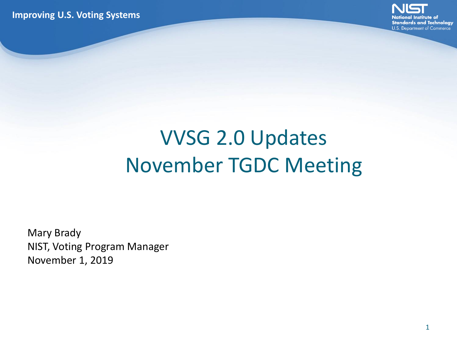**Improving U.S. Voting Systems**



#### VVSG 2.0 Updates November TGDC Meeting

Mary Brady NIST, Voting Program Manager November 1, 2019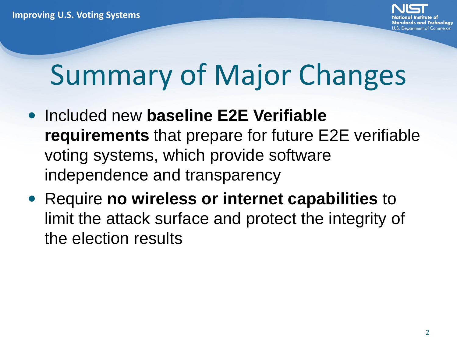- **Included new baseline E2E Verifiable requirements** that prepare for future E2E verifiable voting systems, which provide software independence and transparency
- Require **no wireless or internet capabilities** to limit the attack surface and protect the integrity of the election results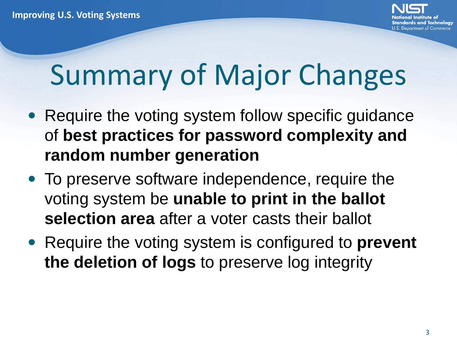- Require the voting system follow specific guidance of **best practices for password complexity and random number generation**
- To preserve software independence, require the voting system be **unable to print in the ballot selection area** after a voter casts their ballot
- Require the voting system is configured to **prevent the deletion of logs** to preserve log integrity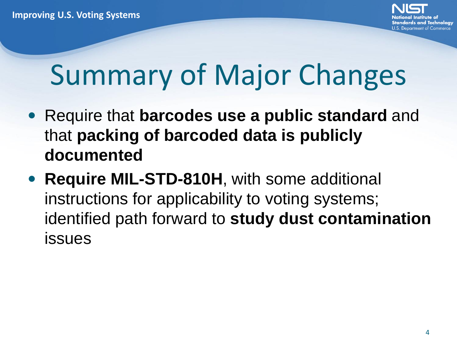- Require that **barcodes use a public standard** and that **packing of barcoded data is publicly documented**
- **Require MIL-STD-810H, with some additional** instructions for applicability to voting systems; identified path forward to **study dust contamination**  issues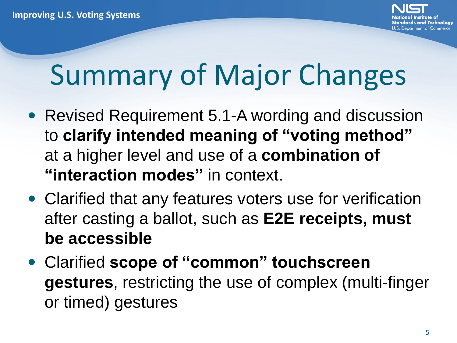- Revised Requirement 5.1-A wording and discussion to **clarify intended meaning of "voting method"**  at a higher level and use of a **combination of "interaction modes"** in context.
- Clarified that any features voters use for verification after casting a ballot, such as **E2E receipts, must be accessible**
- Clarified **scope of "common" touchscreen gestures**, restricting the use of complex (multi-finger or timed) gestures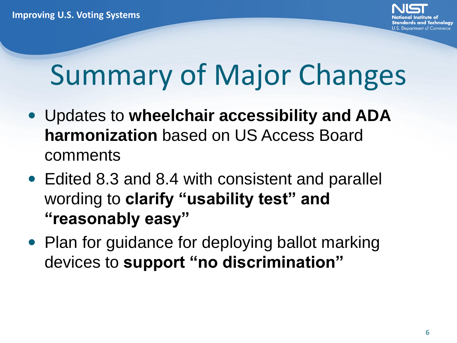- Updates to **wheelchair accessibility and ADA harmonization** based on US Access Board comments
- Edited 8.3 and 8.4 with consistent and parallel wording to **clarify "usability test" and "reasonably easy"**
- Plan for guidance for deploying ballot marking devices to **support "no discrimination"**